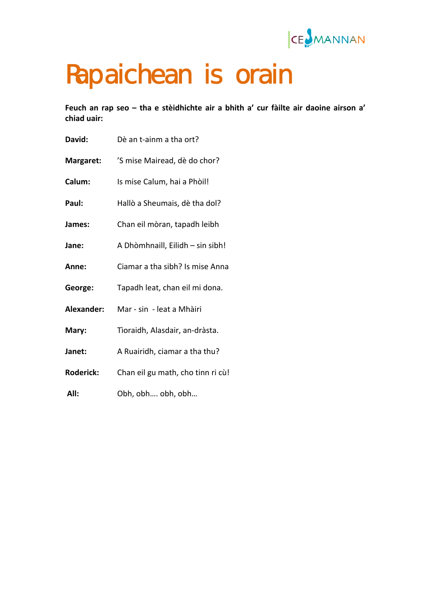

## Rapaichean is orain

**Feuch an rap seo – tha e stèidhichte air a bhith a' cur fàilte air daoine airson a' chiad uair:**

| David:           | Dè an t-ainm a tha ort?           |
|------------------|-----------------------------------|
| Margaret:        | 'S mise Mairead, dè do chor?      |
| Calum:           | Is mise Calum, hai a Phòil!       |
| Paul:            | Hallò a Sheumais, dè tha dol?     |
| James:           | Chan eil mòran, tapadh leibh      |
| Jane:            | A Dhòmhnaill, Eilidh - sin sibh!  |
| Anne:            | Ciamar a tha sibh? Is mise Anna   |
| George:          | Tapadh leat, chan eil mi dona.    |
| Alexander:       | Mar - sin - leat a Mhàiri         |
| Mary:            | Tìoraidh, Alasdair, an-dràsta.    |
| Janet:           | A Ruairidh, ciamar a tha thu?     |
| <b>Roderick:</b> | Chan eil gu math, cho tinn ri cù! |
| All:             | Obh, obh obh, obh                 |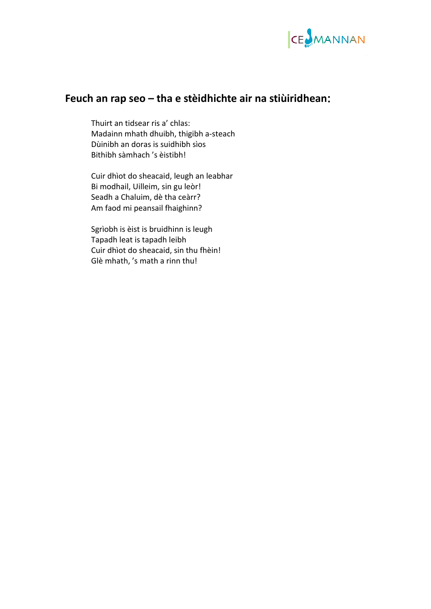

## **Feuch an rap seo – tha e stèidhichte air na stiùiridhean**:

Thuirt an tidsear ris a' chlas: Madainn mhath dhuibh, thigibh a‐steach Dùinibh an doras is suidhibh sìos Bithibh sàmhach 's èistibh!

Cuir dhìot do sheacaid, leugh an leabhar Bi modhail, Uilleim, sin gu leòr! Seadh a Chaluim, dè tha ceàrr? Am faod mi peansail fhaighinn?

Sgrìobh is èist is bruidhinn is leugh Tapadh leat is tapadh leibh C uir dhìot do sheacaid, sin thu fhèin! G lè mhath, 's math a rinn thu!